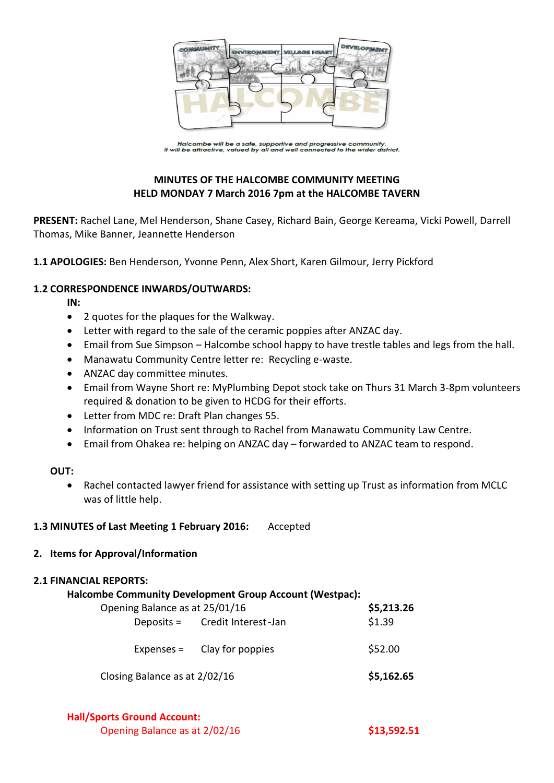

Halcombe will be a safe, supportive and progressive community.<br>It will be attractive, valued by all and well connected to the wider district.

# **MINUTES OF THE HALCOMBE COMMUNITY MEETING HELD MONDAY 7 March 2016 7pm at the HALCOMBE TAVERN**

**PRESENT:** Rachel Lane, Mel Henderson, Shane Casey, Richard Bain, George Kereama, Vicki Powell, Darrell Thomas, Mike Banner, Jeannette Henderson

**1.1 APOLOGIES:** Ben Henderson, Yvonne Penn, Alex Short, Karen Gilmour, Jerry Pickford

### **1.2 CORRESPONDENCE INWARDS/OUTWARDS:**

**IN:** 

- 2 quotes for the plaques for the Walkway.
- Letter with regard to the sale of the ceramic poppies after ANZAC day.
- Email from Sue Simpson Halcombe school happy to have trestle tables and legs from the hall.
- Manawatu Community Centre letter re: Recycling e-waste.
- ANZAC day committee minutes.
- Email from Wayne Short re: MyPlumbing Depot stock take on Thurs 31 March 3-8pm volunteers required & donation to be given to HCDG for their efforts.
- Letter from MDC re: Draft Plan changes 55.
- Information on Trust sent through to Rachel from Manawatu Community Law Centre.
- Email from Ohakea re: helping on ANZAC day forwarded to ANZAC team to respond.

### **OUT:**

 Rachel contacted lawyer friend for assistance with setting up Trust as information from MCLC was of little help.

### **1.3 MINUTES of Last Meeting 1 February 2016:** Accepted

### **2. Items for Approval/Information**

### **2.1 FINANCIAL REPORTS:**

#### **Halcombe Community Development Group Account (Westpac):**

| Opening Balance as at 25/01/16 |  |                                | \$5,213.26 |
|--------------------------------|--|--------------------------------|------------|
|                                |  | Deposits = Credit Interest-Jan | \$1.39     |
|                                |  | Expenses $=$ Clay for poppies  | \$52.00    |
| Closing Balance as at 2/02/16  |  |                                | \$5,162.65 |

**Hall/Sports Ground Account:**

Opening Balance as at 2/02/16 **\$13,592.51**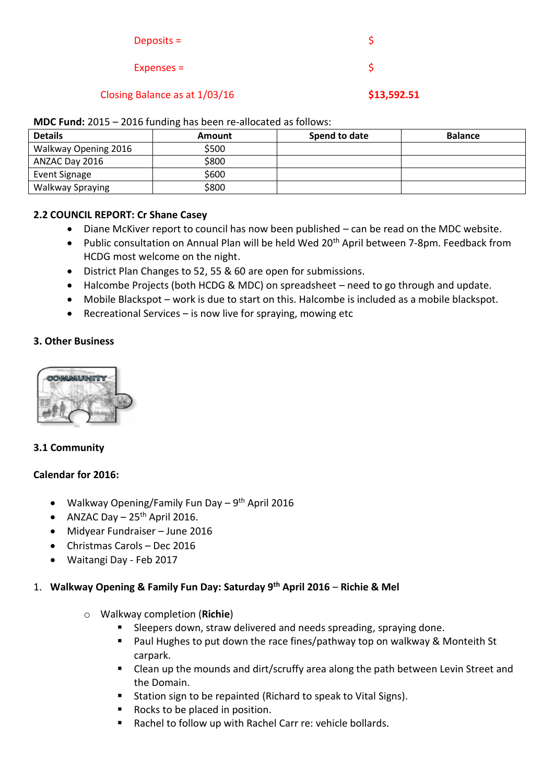| Closing Balance as at 1/03/16 | \$13,592.51 |
|-------------------------------|-------------|
| $Expenses =$                  |             |
| Deposits $=$                  |             |

#### **MDC Fund:** 2015 – 2016 funding has been re-allocated as follows:

| <b>Details</b>          | Amount | Spend to date | <b>Balance</b> |
|-------------------------|--------|---------------|----------------|
| Walkway Opening 2016    | \$500  |               |                |
| ANZAC Day 2016          | \$800  |               |                |
| Event Signage           | \$600  |               |                |
| <b>Walkway Spraying</b> | \$800  |               |                |

### **2.2 COUNCIL REPORT: Cr Shane Casey**

- Diane McKiver report to council has now been published can be read on the MDC website.
- Public consultation on Annual Plan will be held Wed 20<sup>th</sup> April between 7-8pm. Feedback from HCDG most welcome on the night.
- District Plan Changes to 52, 55 & 60 are open for submissions.
- Halcombe Projects (both HCDG & MDC) on spreadsheet need to go through and update.
- Mobile Blackspot work is due to start on this. Halcombe is included as a mobile blackspot.
- **•** Recreational Services is now live for spraying, mowing etc

### **3. Other Business**



## **3.1 Community**

### **Calendar for 2016:**

- Walkway Opening/Family Fun Day 9<sup>th</sup> April 2016
- ANZAC Day  $-25$ <sup>th</sup> April 2016.
- Midyear Fundraiser June 2016
- Christmas Carols Dec 2016
- Waitangi Day Feb 2017

### 1. **Walkway Opening & Family Fun Day: Saturday 9th April 2016** – **Richie & Mel**

- o Walkway completion (**Richie**)
	- Sleepers down, straw delivered and needs spreading, spraying done.
	- **Paul Hughes to put down the race fines/pathway top on walkway & Monteith St** carpark.
	- Clean up the mounds and dirt/scruffy area along the path between Levin Street and the Domain.
	- Station sign to be repainted (Richard to speak to Vital Signs).
	- Rocks to be placed in position.
	- Rachel to follow up with Rachel Carr re: vehicle bollards.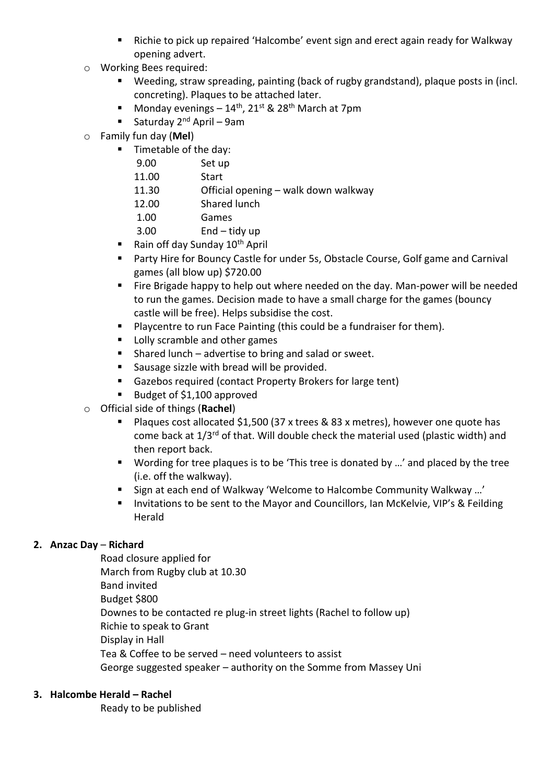- Richie to pick up repaired 'Halcombe' event sign and erect again ready for Walkway opening advert.
- o Working Bees required:
	- Weeding, straw spreading, painting (back of rugby grandstand), plaque posts in (incl. concreting). Plaques to be attached later.
	- Monday evenings  $14^{th}$ , 21st & 28<sup>th</sup> March at 7pm
	- Saturday  $2^{nd}$  April 9am
- o Family fun day (**Mel**)
	- **Timetable of the day:** 
		- 9.00 Set up
		- 11.00 Start
		- 11.30 Official opening walk down walkway
		- 12.00 Shared lunch
		- 1.00 Games
		- 3.00 End tidy up
	- Rain off day Sunday  $10^{th}$  April
	- Party Hire for Bouncy Castle for under 5s, Obstacle Course, Golf game and Carnival games (all blow up) \$720.00
	- Fire Brigade happy to help out where needed on the day. Man-power will be needed to run the games. Decision made to have a small charge for the games (bouncy castle will be free). Helps subsidise the cost.
	- Playcentre to run Face Painting (this could be a fundraiser for them).
	- **Lolly scramble and other games**
	- Shared lunch advertise to bring and salad or sweet.
	- **Sausage sizzle with bread will be provided.**
	- Gazebos required (contact Property Brokers for large tent)
	- Budget of \$1,100 approved
- o Official side of things (**Rachel**)
	- Plaques cost allocated \$1,500 (37 x trees & 83 x metres), however one quote has come back at  $1/3^{rd}$  of that. Will double check the material used (plastic width) and then report back.
	- Wording for tree plaques is to be 'This tree is donated by ...' and placed by the tree (i.e. off the walkway).
	- Sign at each end of Walkway 'Welcome to Halcombe Community Walkway …'
	- Invitations to be sent to the Mayor and Councillors, Ian McKelvie, VIP's & Feilding Herald

## **2. Anzac Day** – **Richard**

Road closure applied for March from Rugby club at 10.30 Band invited Budget \$800 Downes to be contacted re plug-in street lights (Rachel to follow up) Richie to speak to Grant Display in Hall Tea & Coffee to be served – need volunteers to assist George suggested speaker – authority on the Somme from Massey Uni

## **3. Halcombe Herald – Rachel**

Ready to be published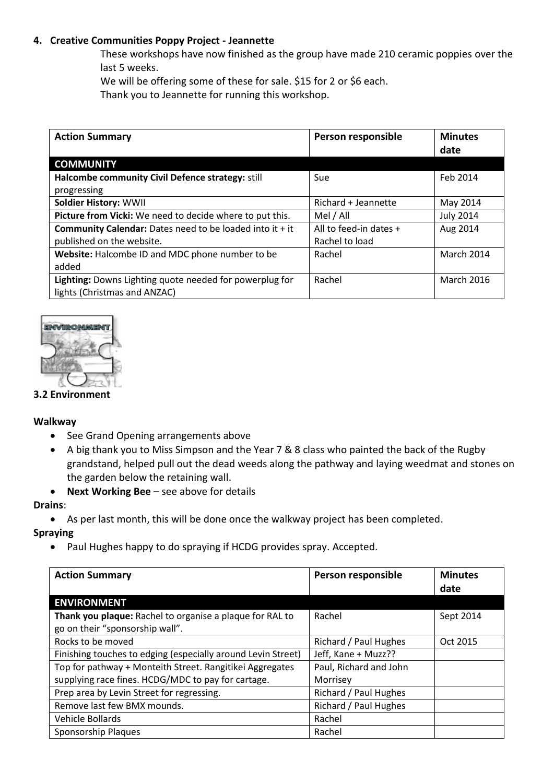## **4. Creative Communities Poppy Project - Jeannette**

These workshops have now finished as the group have made 210 ceramic poppies over the last 5 weeks.

We will be offering some of these for sale. \$15 for 2 or \$6 each.

Thank you to Jeannette for running this workshop.

| <b>Action Summary</b>                                             | Person responsible     | <b>Minutes</b>    |
|-------------------------------------------------------------------|------------------------|-------------------|
|                                                                   |                        | date              |
| <b>COMMUNITY</b>                                                  |                        |                   |
| Halcombe community Civil Defence strategy: still                  | Sue                    | Feb 2014          |
| progressing                                                       |                        |                   |
| <b>Soldier History: WWII</b>                                      | Richard + Jeannette    | May 2014          |
| Picture from Vicki: We need to decide where to put this.          | Mel / All              | <b>July 2014</b>  |
| <b>Community Calendar:</b> Dates need to be loaded into it $+$ it | All to feed-in dates + | Aug 2014          |
| published on the website.                                         | Rachel to load         |                   |
| Website: Halcombe ID and MDC phone number to be                   | Rachel                 | March 2014        |
| added                                                             |                        |                   |
| Lighting: Downs Lighting quote needed for powerplug for           | Rachel                 | <b>March 2016</b> |
| lights (Christmas and ANZAC)                                      |                        |                   |



### **3.2 Environment**

### **Walkway**

- See Grand Opening arrangements above
- A big thank you to Miss Simpson and the Year 7 & 8 class who painted the back of the Rugby grandstand, helped pull out the dead weeds along the pathway and laying weedmat and stones on the garden below the retaining wall.
- **Next Working Bee** see above for details

#### **Drains**:

As per last month, this will be done once the walkway project has been completed.

### **Spraying**

• Paul Hughes happy to do spraying if HCDG provides spray. Accepted.

| <b>Action Summary</b>                                        | Person responsible     | <b>Minutes</b><br>date |
|--------------------------------------------------------------|------------------------|------------------------|
| <b>ENVIRONMENT</b>                                           |                        |                        |
| Thank you plaque: Rachel to organise a plaque for RAL to     | Rachel                 | Sept 2014              |
| go on their "sponsorship wall".                              |                        |                        |
| Rocks to be moved                                            | Richard / Paul Hughes  | Oct 2015               |
| Finishing touches to edging (especially around Levin Street) | Jeff, Kane + Muzz??    |                        |
| Top for pathway + Monteith Street. Rangitikei Aggregates     | Paul, Richard and John |                        |
| supplying race fines. HCDG/MDC to pay for cartage.           | Morrisey               |                        |
| Prep area by Levin Street for regressing.                    | Richard / Paul Hughes  |                        |
| Remove last few BMX mounds.                                  | Richard / Paul Hughes  |                        |
| Vehicle Bollards                                             | Rachel                 |                        |
| Sponsorship Plaques                                          | Rachel                 |                        |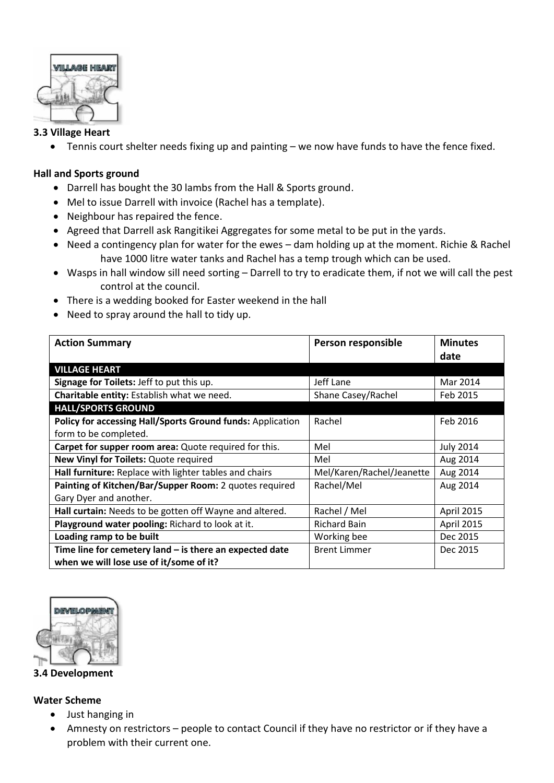

# **3.3 Village Heart**

Tennis court shelter needs fixing up and painting – we now have funds to have the fence fixed.

# **Hall and Sports ground**

- Darrell has bought the 30 lambs from the Hall & Sports ground.
- Mel to issue Darrell with invoice (Rachel has a template).
- Neighbour has repaired the fence.
- Agreed that Darrell ask Rangitikei Aggregates for some metal to be put in the yards.
- Need a contingency plan for water for the ewes dam holding up at the moment. Richie & Rachel have 1000 litre water tanks and Rachel has a temp trough which can be used.
- Wasps in hall window sill need sorting Darrell to try to eradicate them, if not we will call the pest control at the council.
- There is a wedding booked for Easter weekend in the hall
- Need to spray around the hall to tidy up.

| <b>Action Summary</b>                                      | Person responsible        | <b>Minutes</b>   |
|------------------------------------------------------------|---------------------------|------------------|
|                                                            |                           | date             |
| <b>VILLAGE HEART</b>                                       |                           |                  |
| Signage for Toilets: Jeff to put this up.                  | Jeff Lane                 | Mar 2014         |
| Charitable entity: Establish what we need.                 | Shane Casey/Rachel        | Feb 2015         |
| <b>HALL/SPORTS GROUND</b>                                  |                           |                  |
| Policy for accessing Hall/Sports Ground funds: Application | Rachel                    | Feb 2016         |
| form to be completed.                                      |                           |                  |
| Carpet for supper room area: Quote required for this.      | Mel                       | <b>July 2014</b> |
| New Vinyl for Toilets: Quote required                      | Mel                       | Aug 2014         |
| Hall furniture: Replace with lighter tables and chairs     | Mel/Karen/Rachel/Jeanette | Aug 2014         |
| Painting of Kitchen/Bar/Supper Room: 2 quotes required     | Rachel/Mel                | Aug 2014         |
| Gary Dyer and another.                                     |                           |                  |
| Hall curtain: Needs to be gotten off Wayne and altered.    | Rachel / Mel              | April 2015       |
| Playground water pooling: Richard to look at it.           | <b>Richard Bain</b>       | April 2015       |
| Loading ramp to be built                                   | Working bee               | Dec 2015         |
| Time line for cemetery land $-$ is there an expected date  | <b>Brent Limmer</b>       | Dec 2015         |
| when we will lose use of it/some of it?                    |                           |                  |



**3.4 Development**

## **Water Scheme**

- Just hanging in
- Amnesty on restrictors people to contact Council if they have no restrictor or if they have a problem with their current one.